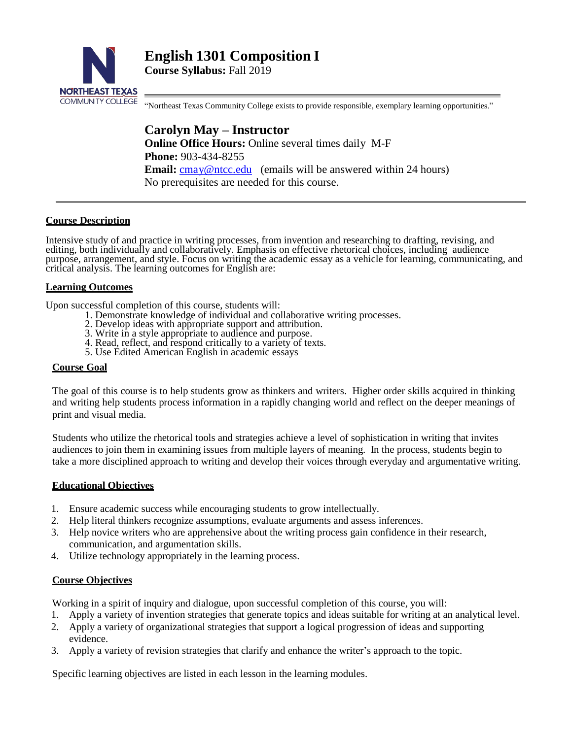

**English 1301 Composition I**

**Course Syllabus:** Fall 2019

"Northeast Texas Community College exists to provide responsible, exemplary learning opportunities."

**Carolyn May – Instructor Online Office Hours:** Online several times daily M-F **Phone:** 903-434-8255 **Email:** [cmay@ntcc.edu \(](mailto:cmay@ntcc.edu)emails will be answered within 24 hours) No prerequisites are needed for this course.

#### **Course Description**

Intensive study of and practice in writing processes, from invention and researching to drafting, revising, and editing, both individually and collaboratively. Emphasis on effective rhetorical choices, including audience purpose, arrangement, and style. Focus on writing the academic essay as a vehicle for learning, communicating, and critical analysis. The learning outcomes for English are:

#### **Learning Outcomes**

Upon successful completion of this course, students will:

- 1. Demonstrate knowledge of individual and collaborative writing processes.
	- 2. Develop ideas with appropriate support and attribution.
	- 3. Write in a style appropriate to audience and purpose.
	- 4. Read, reflect, and respond critically to a variety of texts.
	- 5. Use Edited American English in academic essays

#### **Course Goal**

The goal of this course is to help students grow as thinkers and writers. Higher order skills acquired in thinking and writing help students process information in a rapidly changing world and reflect on the deeper meanings of print and visual media.

Students who utilize the rhetorical tools and strategies achieve a level of sophistication in writing that invites audiences to join them in examining issues from multiple layers of meaning. In the process, students begin to take a more disciplined approach to writing and develop their voices through everyday and argumentative writing.

#### **Educational Objectives**

- 1. Ensure academic success while encouraging students to grow intellectually.
- 2. Help literal thinkers recognize assumptions, evaluate arguments and assess inferences.
- 3. Help novice writers who are apprehensive about the writing process gain confidence in their research, communication, and argumentation skills.
- 4. Utilize technology appropriately in the learning process.

#### **Course Objectives**

Working in a spirit of inquiry and dialogue, upon successful completion of this course, you will:

- 1. Apply a variety of invention strategies that generate topics and ideas suitable for writing at an analytical level.
- 2. Apply a variety of organizational strategies that support a logical progression of ideas and supporting evidence.
- 3. Apply a variety of revision strategies that clarify and enhance the writer's approach to the topic.

Specific learning objectives are listed in each lesson in the learning modules.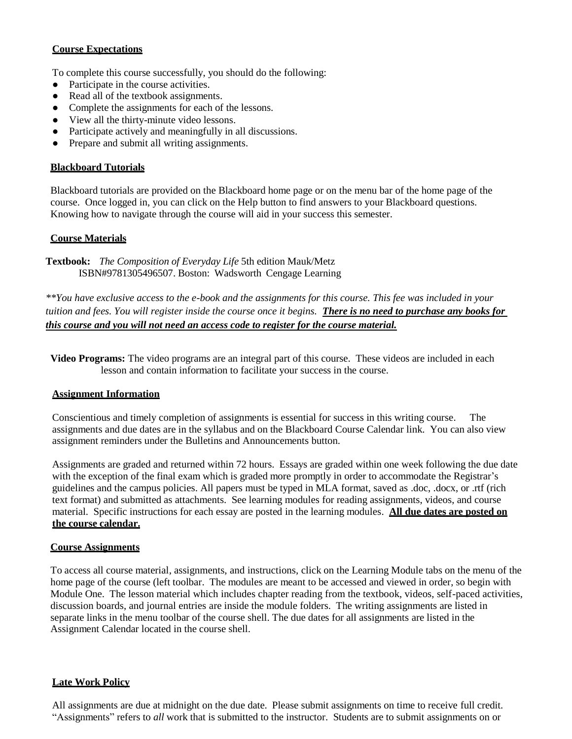# **Course Expectations**

To complete this course successfully, you should do the following:

- Participate in the course activities.
- Read all of the textbook assignments.
- Complete the assignments for each of the lessons.
- View all the thirty-minute video lessons.
- Participate actively and meaningfully in all discussions.
- Prepare and submit all writing assignments.

### **Blackboard Tutorials**

Blackboard tutorials are provided on the Blackboard home page or on the menu bar of the home page of the course. Once logged in, you can click on the Help button to find answers to your Blackboard questions. Knowing how to navigate through the course will aid in your success this semester.

### **Course Materials**

**Textbook:** *The Composition of Everyday Life* 5th edition Mauk/Metz ISBN#9781305496507. Boston: Wadsworth Cengage Learning

*\*\*You have exclusive access to the e-book and the assignments for this course. This fee was included in your tuition and fees. You will register inside the course once it begins. There is no need to purchase any books for this course and you will not need an access code to register for the course material.*

**Video Programs:** The video programs are an integral part of this course. These videos are included in each lesson and contain information to facilitate your success in the course.

#### **Assignment Information**

Conscientious and timely completion of assignments is essential for success in this writing course. The assignments and due dates are in the syllabus and on the Blackboard Course Calendar link. You can also view assignment reminders under the Bulletins and Announcements button.

Assignments are graded and returned within 72 hours. Essays are graded within one week following the due date with the exception of the final exam which is graded more promptly in order to accommodate the Registrar's guidelines and the campus policies. All papers must be typed in MLA format, saved as .doc, .docx, or .rtf (rich text format) and submitted as attachments. See learning modules for reading assignments, videos, and course material. Specific instructions for each essay are posted in the learning modules. **All due dates are posted on the course calendar.**

#### **Course Assignments**

To access all course material, assignments, and instructions, click on the Learning Module tabs on the menu of the home page of the course (left toolbar. The modules are meant to be accessed and viewed in order, so begin with Module One. The lesson material which includes chapter reading from the textbook, videos, self-paced activities, discussion boards, and journal entries are inside the module folders. The writing assignments are listed in separate links in the menu toolbar of the course shell. The due dates for all assignments are listed in the Assignment Calendar located in the course shell.

#### **Late Work Policy**

All assignments are due at midnight on the due date. Please submit assignments on time to receive full credit. "Assignments" refers to *all* work that is submitted to the instructor. Students are to submit assignments on or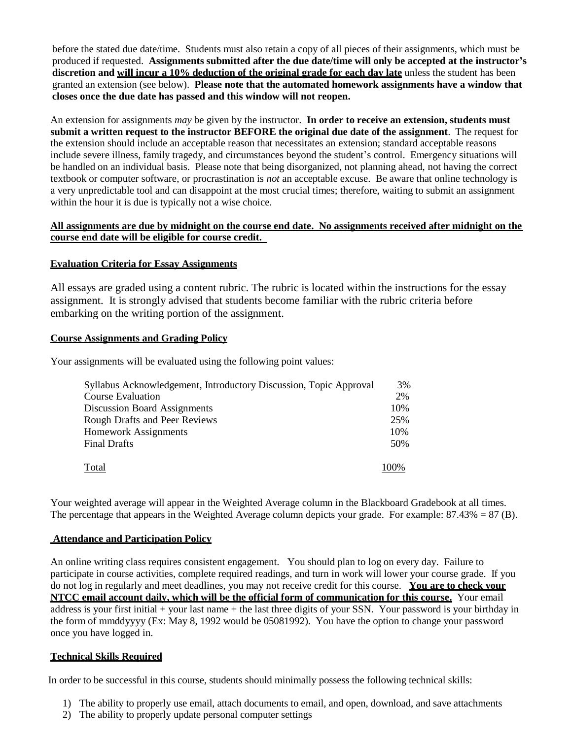before the stated due date/time. Students must also retain a copy of all pieces of their assignments, which must be produced if requested. **Assignments submitted after the due date/time will only be accepted at the instructor's discretion and will incur a 10% deduction of the original grade for each day late** unless the student has been granted an extension (see below). **Please note that the automated homework assignments have a window that closes once the due date has passed and this window will not reopen.**

An extension for assignments *may* be given by the instructor. **In order to receive an extension, students must submit a written request to the instructor BEFORE the original due date of the assignment**. The request for the extension should include an acceptable reason that necessitates an extension; standard acceptable reasons include severe illness, family tragedy, and circumstances beyond the student's control. Emergency situations will be handled on an individual basis. Please note that being disorganized, not planning ahead, not having the correct textbook or computer software, or procrastination is *not* an acceptable excuse. Be aware that online technology is a very unpredictable tool and can disappoint at the most crucial times; therefore, waiting to submit an assignment within the hour it is due is typically not a wise choice.

### **All assignments are due by midnight on the course end date. No assignments received after midnight on the course end date will be eligible for course credit.**

#### **Evaluation Criteria for Essay Assignments**

All essays are graded using a content rubric. The rubric is located within the instructions for the essay assignment. It is strongly advised that students become familiar with the rubric criteria before embarking on the writing portion of the assignment.

#### **Course Assignments and Grading Policy**

Your assignments will be evaluated using the following point values:

| Syllabus Acknowledgement, Introductory Discussion, Topic Approval | 3%   |
|-------------------------------------------------------------------|------|
| <b>Course Evaluation</b>                                          | 2%   |
| <b>Discussion Board Assignments</b>                               | 10%  |
| <b>Rough Drafts and Peer Reviews</b>                              | 25%  |
| <b>Homework Assignments</b>                                       | 10%  |
| <b>Final Drafts</b>                                               | 50%  |
| Total                                                             | 100% |

Your weighted average will appear in the Weighted Average column in the Blackboard Gradebook at all times. The percentage that appears in the Weighted Average column depicts your grade. For example:  $87.43\% = 87$  (B).

#### **Attendance and Participation Policy**

An online writing class requires consistent engagement. You should plan to log on every day. Failure to participate in course activities, complete required readings, and turn in work will lower your course grade. If you do not log in regularly and meet deadlines, you may not receive credit for this course. **You are to check your NTCC email account daily, which will be the official form of communication for this course.** Your email address is your first initial + your last name + the last three digits of your SSN. Your password is your birthday in the form of mmddyyyy (Ex: May 8, 1992 would be 05081992). You have the option to change your password once you have logged in.

#### **Technical Skills Required**

In order to be successful in this course, students should minimally possess the following technical skills:

- 1) The ability to properly use email, attach documents to email, and open, download, and save attachments
- 2) The ability to properly update personal computer settings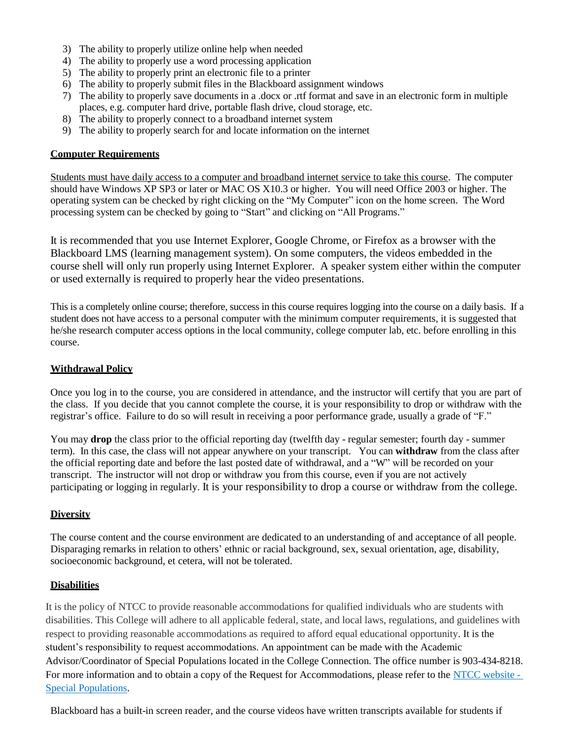- 3) The ability to properly utilize online help when needed
- 4) The ability to properly use a word processing application
- 5) The ability to properly print an electronic file to a printer
- 6) The ability to properly submit files in the Blackboard assignment windows
- 7) The ability to properly save documents in a .docx or .rtf format and save in an electronic form in multiple places, e.g. computer hard drive, portable flash drive, cloud storage, etc.
- 8) The ability to properly connect to a broadband internet system
- 9) The ability to properly search for and locate information on the internet

## **Computer Requirements**

Students must have daily access to a computer and broadband internet service to take this course. The computer should have Windows XP SP3 or later or MAC OS X10.3 or higher. You will need Office 2003 or higher. The operating system can be checked by right clicking on the "My Computer" icon on the home screen. The Word processing system can be checked by going to "Start" and clicking on "All Programs."

It is recommended that you use Internet Explorer, Google Chrome, or Firefox as a browser with the Blackboard LMS (learning management system). On some computers, the videos embedded in the course shell will only run properly using Internet Explorer. A speaker system either within the computer or used externally is required to properly hear the video presentations.

This is a completely online course; therefore, success in this course requires logging into the course on a daily basis. If a student does not have access to a personal computer with the minimum computer requirements, it is suggested that he/she research computer access options in the local community, college computer lab, etc. before enrolling in this course.

### **Withdrawal Policy**

Once you log in to the course, you are considered in attendance, and the instructor will certify that you are part of the class. If you decide that you cannot complete the course, it is your responsibility to drop or withdraw with the registrar's office. Failure to do so will result in receiving a poor performance grade, usually a grade of "F."

You may **drop** the class prior to the official reporting day (twelfth day - regular semester; fourth day - summer term). In this case, the class will not appear anywhere on your transcript. You can **withdraw** from the class after the official reporting date and before the last posted date of withdrawal, and a "W" will be recorded on your transcript. The instructor will not drop or withdraw you from this course, even if you are not actively participating or logging in regularly. It is your responsibility to drop a course or withdraw from the college.

# **Diversity**

The course content and the course environment are dedicated to an understanding of and acceptance of all people. Disparaging remarks in relation to others' ethnic or racial background, sex, sexual orientation, age, disability, socioeconomic background, et cetera, will not be tolerated.

#### **Disabilities**

It is the policy of NTCC to provide reasonable accommodations for qualified individuals who are students with disabilities. This College will adhere to all applicable federal, state, and local laws, regulations, and guidelines with respect to providing reasonable accommodations as required to afford equal educational opportunity. It is the student's responsibility to request accommodations. An appointment can be made with the Academic Advisor/Coordinator of Special Populations located in the College Connection. The office number is 903-434-8218. For more information and to obtain a copy of the Request for Accommodations, please refer to the [NTCC website -](http://www.ntcc.edu/index.php?module=Pagesetter&func=viewpub&tid=111&pid=1) [Special Populations.](http://www.ntcc.edu/index.php?module=Pagesetter&func=viewpub&tid=111&pid=1)

Blackboard has a built-in screen reader, and the course videos have written transcripts available for students if